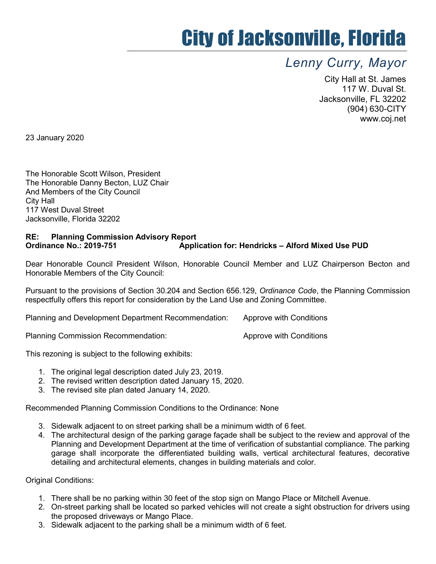## City of Jacksonville, Florida

## Lenny Curry, Mayor

City Hall at St. James 117 W. Duval St. Jacksonville, FL 32202 (904) 630-CITY www.coj.net

23 January 2020

The Honorable Scott Wilson, President The Honorable Danny Becton, LUZ Chair And Members of the City Council City Hall 117 West Duval Street Jacksonville, Florida 32202

## RE: Planning Commission Advisory Report Ordinance No.: 2019-751 Application for: Hendricks – Alford Mixed Use PUD

Dear Honorable Council President Wilson, Honorable Council Member and LUZ Chairperson Becton and Honorable Members of the City Council:

Pursuant to the provisions of Section 30.204 and Section 656.129, Ordinance Code, the Planning Commission respectfully offers this report for consideration by the Land Use and Zoning Committee.

Planning and Development Department Recommendation: Approve with Conditions

Planning Commission Recommendation: Approve with Conditions

This rezoning is subject to the following exhibits:

- 1. The original legal description dated July 23, 2019.
- 2. The revised written description dated January 15, 2020.
- 3. The revised site plan dated January 14, 2020.

Recommended Planning Commission Conditions to the Ordinance: None

- 3. Sidewalk adjacent to on street parking shall be a minimum width of 6 feet.
- 4. The architectural design of the parking garage façade shall be subject to the review and approval of the Planning and Development Department at the time of verification of substantial compliance. The parking garage shall incorporate the differentiated building walls, vertical architectural features, decorative detailing and architectural elements, changes in building materials and color.

Original Conditions:

- 1. There shall be no parking within 30 feet of the stop sign on Mango Place or Mitchell Avenue.
- 2. On-street parking shall be located so parked vehicles will not create a sight obstruction for drivers using the proposed driveways or Mango Place.
- 3. Sidewalk adjacent to the parking shall be a minimum width of 6 feet.